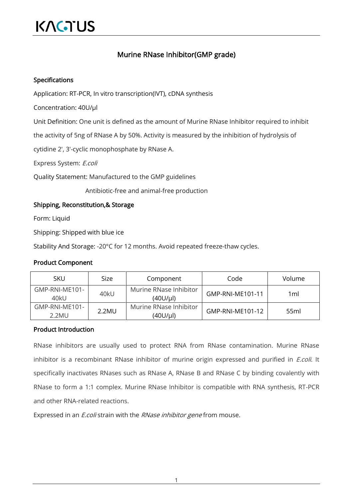# KAGTUS

## Murine RNase Inhibitor(GMP grade)

#### Specifications

Application: RT-PCR, In vitro transcription(IVT), cDNA synthesis

Concentration: 40U/μl

Unit Definition: One unit is defined as the amount of Murine RNase Inhibitor required to inhibit

the activity of 5ng of RNase A by 50%. Activity is measured by the inhibition of hydrolysis of

cytidine 2', 3'-cyclic monophosphate by RNase A.

Express System: E.coli

Quality Statement: Manufactured to the GMP guidelines

Antibiotic-free and animal-free production

### Shipping, Reconstitution,& Storage

Form: Liquid

Shipping: Shipped with blue ice

Stability And Storage: -20°C for 12 months. Avoid repeated freeze-thaw cycles.

#### Product Component

| <b>SKU</b>              | Size  | Component                             | Code             | Volume |
|-------------------------|-------|---------------------------------------|------------------|--------|
| GMP-RNI-ME101-<br>40kU  | 40kU  | Murine RNase Inhibitor<br>$(40U/\mu)$ | GMP-RNI-ME101-11 | 1ml    |
| GMP-RNI-ME101-<br>2.2MU | 2.2MU | Murine RNase Inhibitor<br>(40U/µl)    | GMP-RNI-ME101-12 | 55ml   |

#### Product Introduction

RNase inhibitors are usually used to protect RNA from RNase contamination. Murine RNase inhibitor is a recombinant RNase inhibitor of murine origin expressed and purified in *E.coli*. It specifically inactivates RNases such as RNase A, RNase B and RNase C by binding covalently with RNase to form a 1:1 complex. Murine RNase Inhibitor is compatible with RNA synthesis, RT-PCR and other RNA-related reactions.

Expressed in an *E.coli* strain with the *RNase inhibitor gene* from mouse.